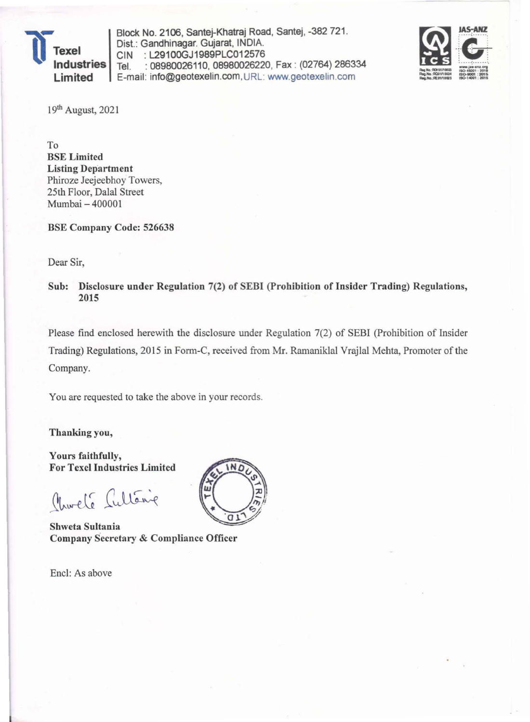

Block No. 2106, Santej-Khatraj Road, Santej, -382 721. Dist.: Gandhinagar. Gujarat, INDIA. CIN : L2910OGJ1989PLC012576 Tel. : 08980026110,08980026220, Fax : (02764)286334 E-mail: info@geotexelin.com,URL: www.geotexelin.com



19th August, 2021

To BSE Limited **Listing Department** Phiroze Jeejeebhoy Towers, 25th Floor, *Dalal* Street Mumbai - 400001

BSE Company Code: 526638

Dear Sir,

Sub: Disclosure under Regulation 7(2) of SEBI (Prohibition of Insider Trading) Regulations, 2015

Please find enclosed herewith the disclosure under Regulation 7(2) of SEBI (Prohibition of Insider Trading) Regulations, 2015 in Form-C, received from Mr. Ramaniklal Vrajlal Mehta, Promoter of the Company.

You are requested to take the above in your records.

Thanking you,

Yours faithfully, For Texel Industries Limited

Charle Cultaine

Shweta Sultania Company Secretary & Compliance Officer

Encl: As above

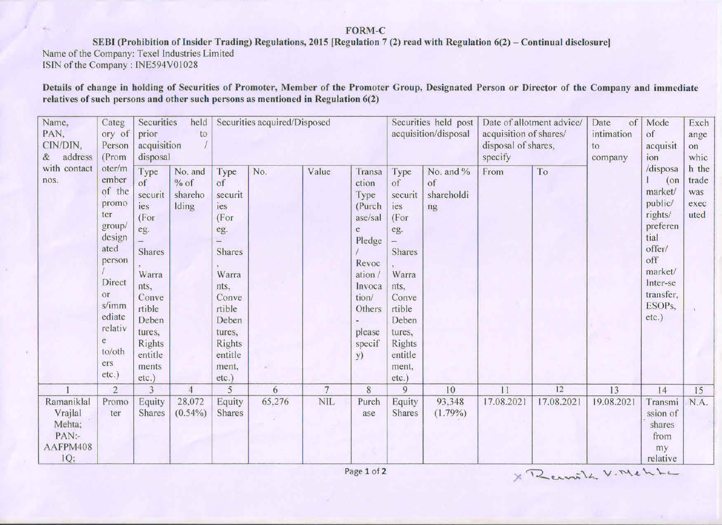## FORM-C

SEBI (Prohibition of Insider Trading) Regulations, 2015 [Regulation 7 (2) read with Regulation 6(2) – Continual disclosure]

Name of the Company: Texel Industries Limited

ISIN of the Company: INE594V01028

Details of change in holding of Securities of Promoter, Member of the Promoter Group, Designated Person or Director of the Company and immediate relatives of such persons and other such persons as mentioned in Regulation 6(2)

| Name,<br>PAN,<br>CIN/DIN,<br>address<br>$\&$                | Categ<br>ory of<br>Person<br>(Prom<br>oter/m<br>ember<br>of the<br>promo<br>ter<br>group/<br>design<br>ated<br>person<br>Direct<br>or<br>s/imm<br>ediate<br>relativ<br>e<br>to/oth<br>ers<br>etc.) | Securities<br>held<br>prior<br>to<br>acquisition<br>disposal                                                                                                         |                                       | Securities acquired/Disposed                                                                                                                               |                                                                                                                                                                                                                                                                                                                                                                 |                | Securities held post<br>acquisition/disposal |                         | Date of allotment advice/<br>acquisition of shares/<br>disposal of shares,<br>specify |            | of<br>Date<br>intimation<br>to<br>company | Mode<br>of<br>acquisit<br>on<br>ion<br>/disposa<br>$($ on<br>market/<br>public/<br>rights/<br>preferen<br>tial<br>offer/<br>off<br>market/<br>Inter-se<br>transfer.<br>ESOP <sub>s</sub> ,<br>etc.) | Exch<br>ange<br>whic                                    |      |
|-------------------------------------------------------------|----------------------------------------------------------------------------------------------------------------------------------------------------------------------------------------------------|----------------------------------------------------------------------------------------------------------------------------------------------------------------------|---------------------------------------|------------------------------------------------------------------------------------------------------------------------------------------------------------|-----------------------------------------------------------------------------------------------------------------------------------------------------------------------------------------------------------------------------------------------------------------------------------------------------------------------------------------------------------------|----------------|----------------------------------------------|-------------------------|---------------------------------------------------------------------------------------|------------|-------------------------------------------|-----------------------------------------------------------------------------------------------------------------------------------------------------------------------------------------------------|---------------------------------------------------------|------|
| with contact<br>nos.                                        |                                                                                                                                                                                                    | Type<br>of<br>securit<br>ies<br>(For<br>eg.<br><b>Shares</b><br>Warra<br>nts,<br>Conve<br>rtible<br>Deben<br>tures,<br><b>Rights</b><br>entitle<br>ments<br>$etc.$ ) | No. and<br>$%$ of<br>shareho<br>Iding | Type<br>of<br>securit<br>ies<br>(For<br>eg.<br><b>Shares</b><br>Warra<br>nts,<br>Conve<br>rtible<br>Deben<br>tures,<br>Rights<br>entitle<br>ment,<br>etc.) | No.<br>Value<br>No. and %<br>To<br>Transa<br>Type<br>From<br>of<br>of<br>ction<br>shareholdi<br>Type<br>securit<br>(Purch<br>ies<br>ng<br>(For<br>ase/sal<br>eg.<br>e<br>Pledge<br>Shares<br>Revoc<br>Warra<br>ation.<br>Invoca<br>nts.<br>tion/<br>Conve<br>rtible<br>Others<br>Deben<br>please<br>tures,<br>specif<br><b>Rights</b><br>entitle<br>y)<br>ment, |                | h the<br>trade<br>was<br>exec<br>uted        |                         |                                                                                       |            |                                           |                                                                                                                                                                                                     |                                                         |      |
|                                                             | $\overline{2}$                                                                                                                                                                                     | 3                                                                                                                                                                    | $\overline{4}$                        | 5                                                                                                                                                          | 6                                                                                                                                                                                                                                                                                                                                                               | $\overline{7}$ | 8                                            | 9                       | 10                                                                                    | 11         | 12                                        | 13                                                                                                                                                                                                  | 14                                                      | 15   |
| Ramaniklal<br>Vrajlal<br>Mehta;<br>PAN:-<br>AAFPM408<br>IQ; | Promo<br>ter                                                                                                                                                                                       | Equity<br>Shares                                                                                                                                                     | 28,072<br>$(0.54\%)$                  | Equity<br>Shares                                                                                                                                           | 65,276                                                                                                                                                                                                                                                                                                                                                          | <b>NIL</b>     | Purch<br>ase                                 | Equity<br><b>Shares</b> | 93,348<br>$(1.79\%)$                                                                  | 17.08.2021 | 17.08.2021                                | 19.08.2021                                                                                                                                                                                          | Transmi<br>ssion of<br>shares<br>from<br>my<br>relative | N.A. |

X Ramilh V. Mchte